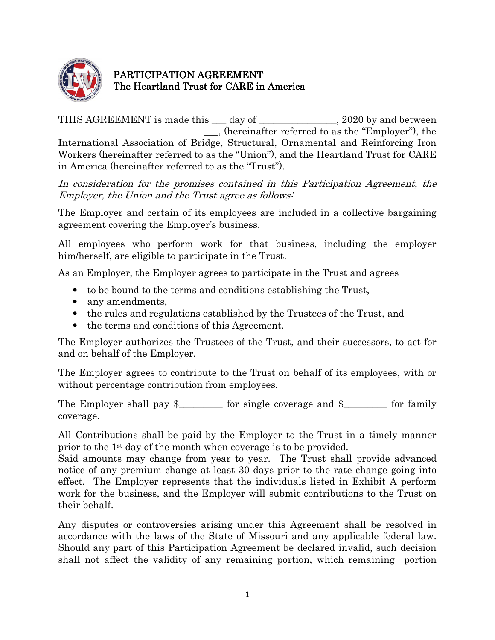

## PARTICIPATION AGREEMENT The Heartland Trust for CARE in America

THIS AGREEMENT is made this \_\_\_ day of \_\_\_\_\_\_\_\_\_\_\_\_\_, 2020 by and between \_\_\_, (hereinafter referred to as the "Employer"), the International Association of Bridge, Structural, Ornamental and Reinforcing Iron Workers (hereinafter referred to as the "Union"), and the Heartland Trust for CARE in America (hereinafter referred to as the "Trust").

In consideration for the promises contained in this Participation Agreement, the Employer, the Union and the Trust agree as follows:

The Employer and certain of its employees are included in a collective bargaining agreement covering the Employer's business.

All employees who perform work for that business, including the employer him/herself, are eligible to participate in the Trust.

As an Employer, the Employer agrees to participate in the Trust and agrees

- to be bound to the terms and conditions establishing the Trust,
- any amendments,
- the rules and regulations established by the Trustees of the Trust, and
- the terms and conditions of this Agreement.

The Employer authorizes the Trustees of the Trust, and their successors, to act for and on behalf of the Employer.

The Employer agrees to contribute to the Trust on behalf of its employees, with or without percentage contribution from employees.

The Employer shall pay  $\frac{1}{2}$  for single coverage and  $\frac{1}{2}$  for family coverage.

All Contributions shall be paid by the Employer to the Trust in a timely manner prior to the 1st day of the month when coverage is to be provided.

Said amounts may change from year to year. The Trust shall provide advanced notice of any premium change at least 30 days prior to the rate change going into effect. The Employer represents that the individuals listed in Exhibit A perform work for the business, and the Employer will submit contributions to the Trust on their behalf.

Any disputes or controversies arising under this Agreement shall be resolved in accordance with the laws of the State of Missouri and any applicable federal law. Should any part of this Participation Agreement be declared invalid, such decision shall not affect the validity of any remaining portion, which remaining portion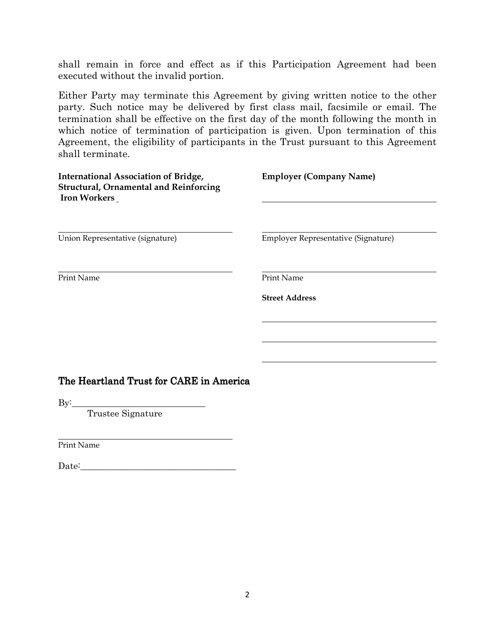shall remain in force and effect as if this Participation Agreement had been executed without the invalid portion.

Either Party may terminate this Agreement by giving written notice to the other party. Such notice may be delivered by first class mail, facsimile or email. The termination shall be effective on the first day of the month following the month in which notice of termination of participation is given. Upon termination of this Agreement, the eligibility of participants in the Trust pursuant to this Agreement shall terminate.

| International Association of Bridge,<br><b>Structural, Ornamental and Reinforcing</b><br><b>Iron Workers</b> | <b>Employer (Company Name)</b>      |
|--------------------------------------------------------------------------------------------------------------|-------------------------------------|
| Union Representative (signature)                                                                             | Employer Representative (Signature) |
| Print Name                                                                                                   | Print Name<br><b>Street Address</b> |
| The Heartland Trust for CARE in America<br>$\rm{By:}$<br>Trustee Signature                                   |                                     |

 $\overline{a}$ Print Name

Date:\_\_\_\_\_\_\_\_\_\_\_\_\_\_\_\_\_\_\_\_\_\_\_\_\_\_\_\_\_\_\_\_\_\_\_